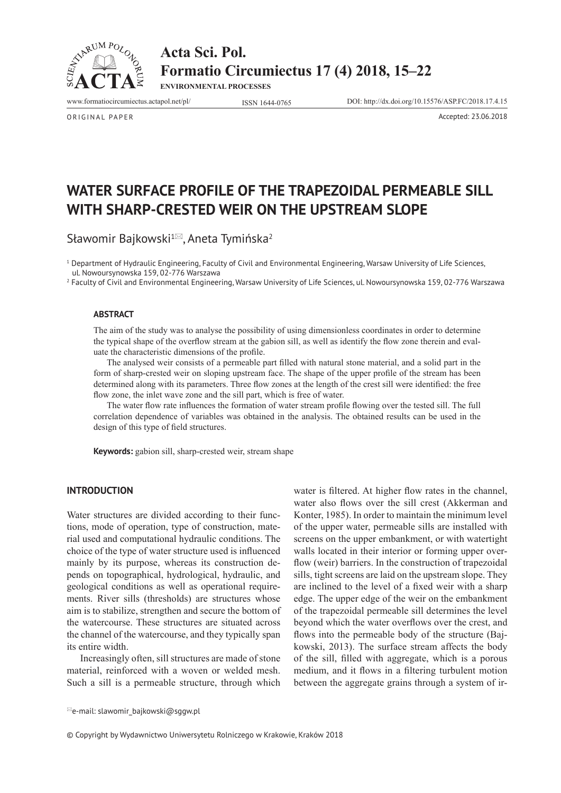



**ENVIRONMENTAL PROCESSES**

www.formatiocircumiectus.actapol.net/pl/ ISSN 1644-0765 DOI: http://dx.doi.org/10.15576/ASP.FC/2018.17.4.15

ORIGINAL PAPER Accepted: 23.06.2018

**WATER SURFACE PROFILE OF THE TRAPEZOIDAL PERMEABLE SILL WITH SHARP-CRESTED WEIR ON THE UPSTREAM SLOPE** 

Sławomir Bajkowski<sup>1⊠</sup>, Aneta Tymińska<sup>2</sup>

1 Department of Hydraulic Engineering, Faculty of Civil and Environmental Engineering, Warsaw University of Life Sciences, ul. Nowoursynowska 159, 02-776 Warszawa

2 Faculty of Civil and Environmental Engineering, Warsaw University of Life Sciences, ul. Nowoursynowska 159, 02-776 Warszawa

#### **ABSTRACT**

The aim of the study was to analyse the possibility of using dimensionless coordinates in order to determine the typical shape of the overflow stream at the gabion sill, as well as identify the flow zone therein and evaluate the characteristic dimensions of the profile.

The analysed weir consists of a permeable part filled with natural stone material, and a solid part in the form of sharp-crested weir on sloping upstream face. The shape of the upper profile of the stream has been determined along with its parameters. Three flow zones at the length of the crest sill were identified: the free flow zone, the inlet wave zone and the sill part, which is free of water.

The water flow rate influences the formation of water stream profile flowing over the tested sill. The full correlation dependence of variables was obtained in the analysis. The obtained results can be used in the design of this type of field structures.

**Keywords:** gabion sill, sharp-crested weir, stream shape

# **INTRODUCTION**

Water structures are divided according to their functions, mode of operation, type of construction, material used and computational hydraulic conditions. The choice of the type of water structure used is influenced mainly by its purpose, whereas its construction depends on topographical, hydrological, hydraulic, and geological conditions as well as operational requirements. River sills (thresholds) are structures whose aim is to stabilize, strengthen and secure the bottom of the watercourse. These structures are situated across the channel of the watercourse, and they typically span its entire width.

Increasingly often, sill structures are made of stone material, reinforced with a woven or welded mesh. Such a sill is a permeable structure, through which

water is filtered. At higher flow rates in the channel, water also flows over the sill crest (Akkerman and Konter, 1985). In order to maintain the minimum level of the upper water, permeable sills are installed with screens on the upper embankment, or with watertight walls located in their interior or forming upper overflow (weir) barriers. In the construction of trapezoidal sills, tight screens are laid on the upstream slope. They are inclined to the level of a fixed weir with a sharp edge. The upper edge of the weir on the embankment of the trapezoidal permeable sill determines the level beyond which the water overflows over the crest, and flows into the permeable body of the structure (Bajkowski, 2013). The surface stream affects the body of the sill, filled with aggregate, which is a porous medium, and it flows in a filtering turbulent motion between the aggregate grains through a system of ir-

© Copyright by Wydawnictwo Uniwersytetu Rolniczego w Krakowie, Kraków 2018

 $\mathbb{E}_e$ -mail: slawomir\_bajkowski@sggw.pl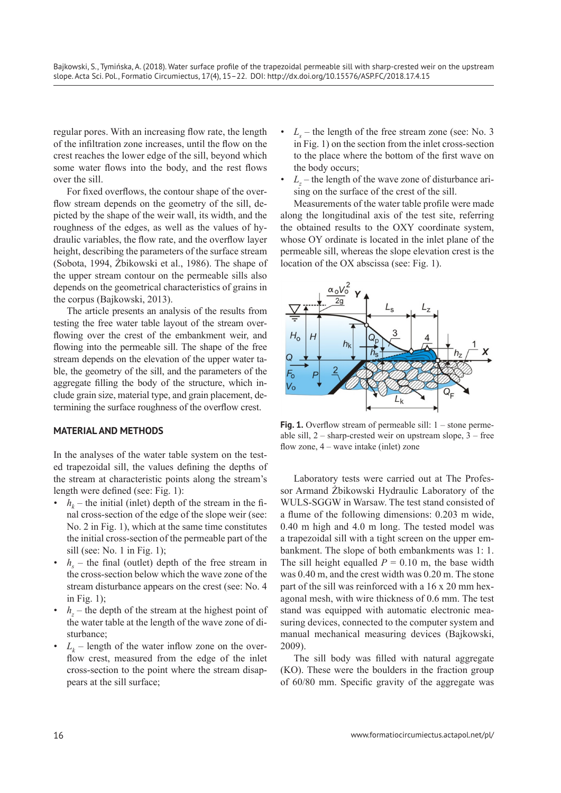regular pores. With an increasing flow rate, the length of the infiltration zone increases, until the flow on the crest reaches the lower edge of the sill, beyond which some water flows into the body, and the rest flows over the sill.

For fixed overflows, the contour shape of the overflow stream depends on the geometry of the sill, depicted by the shape of the weir wall, its width, and the roughness of the edges, as well as the values of hydraulic variables, the flow rate, and the overflow layer height, describing the parameters of the surface stream (Sobota, 1994, Żbikowski et al., 1986). The shape of the upper stream contour on the permeable sills also depends on the geometrical characteristics of grains in the corpus (Bajkowski, 2013).

The article presents an analysis of the results from testing the free water table layout of the stream overflowing over the crest of the embankment weir, and flowing into the permeable sill. The shape of the free stream depends on the elevation of the upper water table, the geometry of the sill, and the parameters of the aggregate filling the body of the structure, which include grain size, material type, and grain placement, determining the surface roughness of the overflow crest.

# **MATERIAL AND METHODS**

In the analyses of the water table system on the tested trapezoidal sill, the values defining the depths of the stream at characteristic points along the stream's length were defined (see: Fig. 1):

- $h_k$  the initial (inlet) depth of the stream in the final cross-section of the edge of the slope weir (see: No. 2 in Fig. 1), which at the same time constitutes the initial cross-section of the permeable part of the sill (see: No. 1 in Fig. 1);
- $h_s$  the final (outlet) depth of the free stream in the cross-section below which the wave zone of the stream disturbance appears on the crest (see: No. 4 in Fig. 1);
- $h_z$  the depth of the stream at the highest point of the water table at the length of the wave zone of disturbance;
- $L_k$  length of the water inflow zone on the overflow crest, measured from the edge of the inlet cross-section to the point where the stream disappears at the sill surface;
- $L_s$  the length of the free stream zone (see: No. 3) in Fig. 1) on the section from the inlet cross-section to the place where the bottom of the first wave on the body occurs;
- $L_z$  the length of the wave zone of disturbance arising on the surface of the crest of the sill.

Measurements of the water table profile were made along the longitudinal axis of the test site, referring the obtained results to the OXY coordinate system, whose OY ordinate is located in the inlet plane of the permeable sill, whereas the slope elevation crest is the location of the OX abscissa (see: Fig. 1).



**Fig. 1.** Overflow stream of permeable sill: 1 – stone permeable sill,  $2$  – sharp-crested weir on upstream slope,  $3$  – free flow zone, 4 – wave intake (inlet) zone

Laboratory tests were carried out at The Professor Armand Żbikowski Hydraulic Laboratory of the WULS-SGGW in Warsaw. The test stand consisted of a flume of the following dimensions: 0.203 m wide, 0.40 m high and 4.0 m long. The tested model was a trapezoidal sill with a tight screen on the upper embankment. The slope of both embankments was 1: 1. The sill height equalled  $P = 0.10$  m, the base width was 0.40 m, and the crest width was 0.20 m. The stone part of the sill was reinforced with a 16 x 20 mm hexagonal mesh, with wire thickness of 0.6 mm. The test stand was equipped with automatic electronic measuring devices, connected to the computer system and manual mechanical measuring devices (Bajkowski, 2009).

The sill body was filled with natural aggregate (KO). These were the boulders in the fraction group of 60/80 mm. Specific gravity of the aggregate was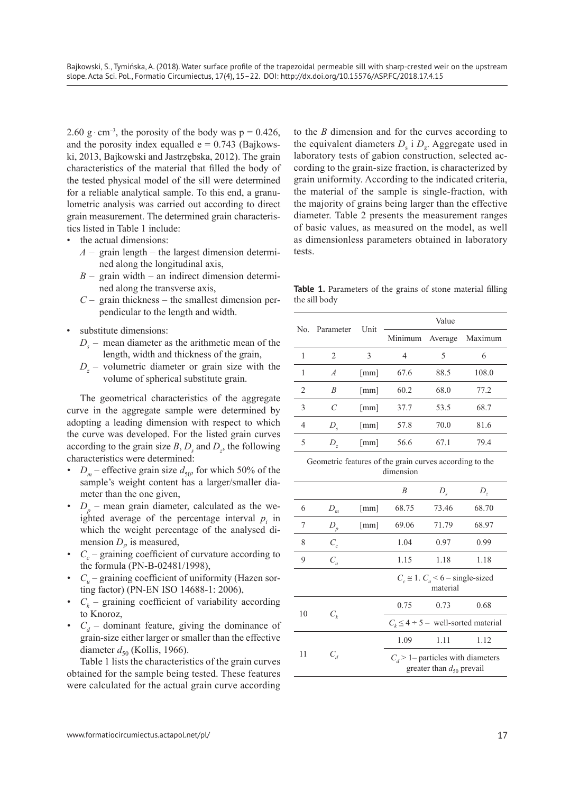2.60 g · cm<sup>-3</sup>, the porosity of the body was  $p = 0.426$ , and the porosity index equalled  $e = 0.743$  (Bajkowski, 2013, Bajkowski and Jastrzębska, 2012). The grain characteristics of the material that filled the body of the tested physical model of the sill were determined for a reliable analytical sample. To this end, a granulometric analysis was carried out according to direct grain measurement. The determined grain characteristics listed in Table 1 include:

- the actual dimensions:
	- $A$  grain length the largest dimension determined along the longitudinal axis,
	- $B$  grain width an indirect dimension determined along the transverse axis,
	- $C$  grain thickness the smallest dimension perpendicular to the length and width.
- substitute dimensions:
	- $D<sub>s</sub>$  mean diameter as the arithmetic mean of the length, width and thickness of the grain,
- $D_z$  volumetric diameter or grain size with the volume of spherical substitute grain.

The geometrical characteristics of the aggregate curve in the aggregate sample were determined by adopting a leading dimension with respect to which the curve was developed. For the listed grain curves according to the grain size  $B$ ,  $D_s$  and  $D_z$ , the following characteristics were determined:

- $D_m$  effective grain size  $d_{50}$ , for which 50% of the sample's weight content has a larger/smaller diameter than the one given,
- $D_p$  mean grain diameter, calculated as the weighted average of the percentage interval  $p_i$  in which the weight percentage of the analysed dimension  $D_i$ , is measured,
- $C_c$  graining coefficient of curvature according to the formula (PN-B-02481/1998),
- *C<sub>u</sub>* graining coefficient of uniformity (Hazen sorting factor) (PN-EN ISO 14688-1: 2006),
- $C_k$  graining coefficient of variability according to Knoroz,
- $C_d$  dominant feature, giving the dominance of grain-size either larger or smaller than the effective diameter  $d_{50}$  (Kollis, 1966).

Table 1 lists the characteristics of the grain curves obtained for the sample being tested. These features were calculated for the actual grain curve according to the *B* dimension and for the curves according to the equivalent diameters  $D_s$  i  $D_z$ . Aggregate used in laboratory tests of gabion construction, selected according to the grain-size fraction, is characterized by grain uniformity. According to the indicated criteria, the material of the sample is single-fraction, with the majority of grains being larger than the effective diameter. Table 2 presents the measurement ranges of basic values, as measured on the model, as well as dimensionless parameters obtained in laboratory tests.

**Table 1.** Parameters of the grains of stone material filling the sill body

| No.            | Parameter                     | Unit                 | Value   |         |         |  |
|----------------|-------------------------------|----------------------|---------|---------|---------|--|
|                |                               |                      | Minimum | Average | Maximum |  |
| 1              | $\mathfrak{D}_{\mathfrak{p}}$ | 3                    | 4       | 5       | 6       |  |
| 1              | $\boldsymbol{A}$              | $\lceil$ mm $\rceil$ | 67.6    | 88.5    | 108.0   |  |
| $\overline{c}$ | Β                             | $\lceil$ mm $\rceil$ | 60.2    | 68.0    | 77.2    |  |
| 3              | C                             | $\lceil$ mm $\rceil$ | 37.7    | 53.5    | 68.7    |  |
| $\overline{4}$ | $D_{s}$                       | $\lceil$ mm $\rceil$ | 57.8    | 70.0    | 81.6    |  |
| 5              | D,                            | $\lceil$ mm $\rceil$ | 56.6    | 671     | 79.4    |  |

Geometric features of the grain curves according to the dimension

|    |                     |                      | $\boldsymbol{B}$                                                     | $D_{\rm s}$ | $D_{\tau}$                                   |  |  |
|----|---------------------|----------------------|----------------------------------------------------------------------|-------------|----------------------------------------------|--|--|
| 6  | D<br>่ <sub>m</sub> | $\lceil$ mm $\rceil$ | 68.75                                                                | 73.46       | 68.70                                        |  |  |
| 7  | $D_p$               | $\lceil$ mm $\rceil$ | 69.06                                                                | 71.79       | 68.97                                        |  |  |
| 8  | $C_{c}$             |                      | 1.04                                                                 | 0.97        | 0.99                                         |  |  |
| 9  | $C_{\mu}$           |                      | 1.15                                                                 | 1.18        | 1.18                                         |  |  |
|    |                     |                      | $C_c \approx 1$ . $C_u < 6$ – single-sized<br>material               |             |                                              |  |  |
| 10 |                     |                      | 0.75                                                                 | 0.73        | 0.68                                         |  |  |
|    | $C_{\iota}$         |                      |                                                                      |             | $C_{k} \leq 4 \div 5$ – well-sorted material |  |  |
|    |                     |                      | 1.09                                                                 | 1.11        | 1.12                                         |  |  |
| 11 | $C_{d}$             |                      | $C_d$ > 1– particles with diameters<br>greater than $d_{50}$ prevail |             |                                              |  |  |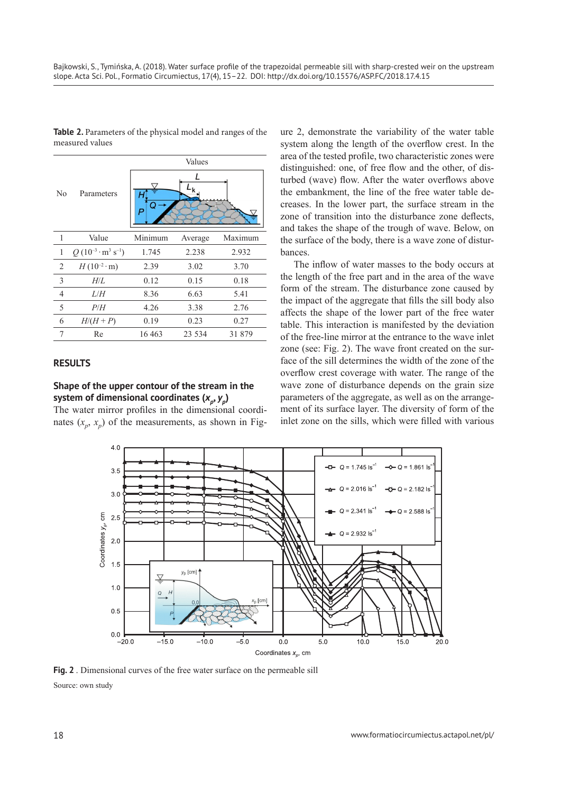|                |                               | Values  |         |         |  |  |  |
|----------------|-------------------------------|---------|---------|---------|--|--|--|
| No             | Parameters                    |         |         |         |  |  |  |
| 1              | Value                         | Minimum | Average | Maximum |  |  |  |
| 1              | $Q(10^{-3} \cdot m^3 s^{-1})$ | 1.745   | 2.238   | 2.932   |  |  |  |
| $\overline{2}$ | $H(10^{-2} \cdot m)$          | 2.39    | 3.02    | 3.70    |  |  |  |
| $\mathfrak{Z}$ | $H\!/\!L$                     | 0.12    | 0.15    | 0.18    |  |  |  |
| $\overline{4}$ | L/H                           | 8.36    | 6.63    | 5.41    |  |  |  |
| 5              | P/H                           | 4.26    | 3.38    | 2.76    |  |  |  |
| 6              | $H/(H+P)$                     | 0.19    | 0.23    | 0.27    |  |  |  |
| 7              | Re                            | 16 4 63 | 23 5 34 | 31879   |  |  |  |

**Table 2.** Parameters of the physical model and ranges of the measured values

### **RESULTS**

# **Shape of the upper contour of the stream in the**  system of dimensional coordinates  $(x_n, y_n)$

The water mirror profiles in the dimensional coordinates  $(x_n, x_n)$  of the measurements, as shown in Fig-

ure 2, demonstrate the variability of the water table system along the length of the overflow crest. In the area of the tested profile, two characteristic zones were distinguished: one, of free flow and the other, of disturbed (wave) flow. After the water overflows above the embankment, the line of the free water table decreases. In the lower part, the surface stream in the zone of transition into the disturbance zone deflects, and takes the shape of the trough of wave. Below, on the surface of the body, there is a wave zone of disturbances.

The inflow of water masses to the body occurs at the length of the free part and in the area of the wave form of the stream. The disturbance zone caused by the impact of the aggregate that fills the sill body also affects the shape of the lower part of the free water table. This interaction is manifested by the deviation of the free-line mirror at the entrance to the wave inlet zone (see: Fig. 2). The wave front created on the surface of the sill determines the width of the zone of the overflow crest coverage with water. The range of the wave zone of disturbance depends on the grain size parameters of the aggregate, as well as on the arrangement of its surface layer. The diversity of form of the inlet zone on the sills, which were filled with various



**Fig. 2** . Dimensional curves of the free water surface on the permeable sill Source: own study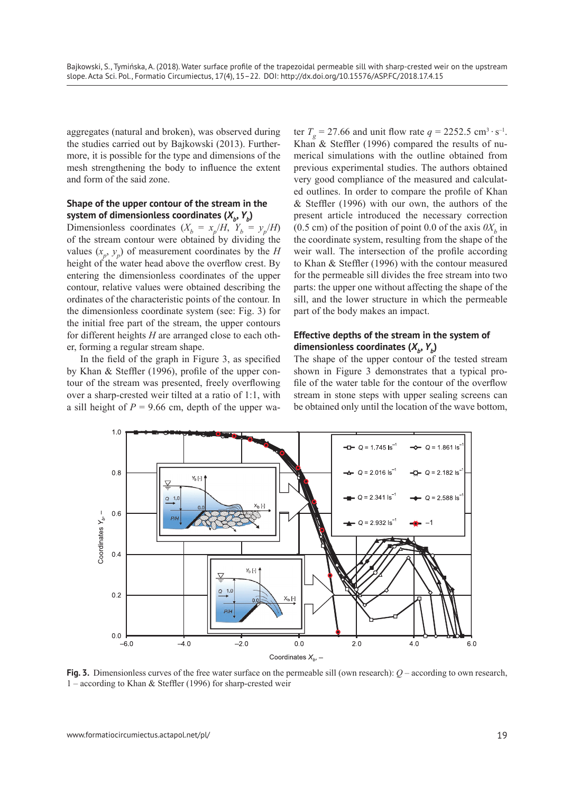aggregates (natural and broken), was observed during the studies carried out by Bajkowski (2013). Furthermore, it is possible for the type and dimensions of the mesh strengthening the body to influence the extent and form of the said zone.

# **Shape of the upper contour of the stream in the**  system of dimensionless coordinates  $(X_{i}, Y_{b})$

Dimensionless coordinates  $(X_b = x_p/H, Y_b = y_p/H)$ of the stream contour were obtained by dividing the values  $(x_p, y_p)$  of measurement coordinates by the *H* height of the water head above the overflow crest. By entering the dimensionless coordinates of the upper contour, relative values were obtained describing the ordinates of the characteristic points of the contour. In the dimensionless coordinate system (see: Fig. 3) for the initial free part of the stream, the upper contours for different heights *H* are arranged close to each other, forming a regular stream shape.

In the field of the graph in Figure 3, as specified by Khan & Steffler (1996), profile of the upper contour of the stream was presented, freely overflowing over a sharp-crested weir tilted at a ratio of 1:1, with a sill height of  $P = 9.66$  cm, depth of the upper water  $T_g = 27.66$  and unit flow rate  $q = 2252.5$  cm<sup>3</sup> ⋅ s<sup>-1</sup>. Khan & Steffler (1996) compared the results of numerical simulations with the outline obtained from previous experimental studies. The authors obtained very good compliance of the measured and calculated outlines. In order to compare the profile of Khan & Steffler (1996) with our own, the authors of the present article introduced the necessary correction (0.5 cm) of the position of point 0.0 of the axis  $0X<sub>b</sub>$  in the coordinate system, resulting from the shape of the weir wall. The intersection of the profile according to Khan & Steffler (1996) with the contour measured for the permeable sill divides the free stream into two parts: the upper one without affecting the shape of the sill, and the lower structure in which the permeable part of the body makes an impact.

# **Effective depths of the stream in the system of**  dimensionless coordinates  $(X_{b}, Y_{b})$

The shape of the upper contour of the tested stream shown in Figure 3 demonstrates that a typical profile of the water table for the contour of the overflow stream in stone steps with upper sealing screens can be obtained only until the location of the wave bottom,



**Fig. 3.** Dimensionless curves of the free water surface on the permeable sill (own research):  $Q$  – according to own research, 1 – according to Khan & Steffler (1996) for sharp-crested weir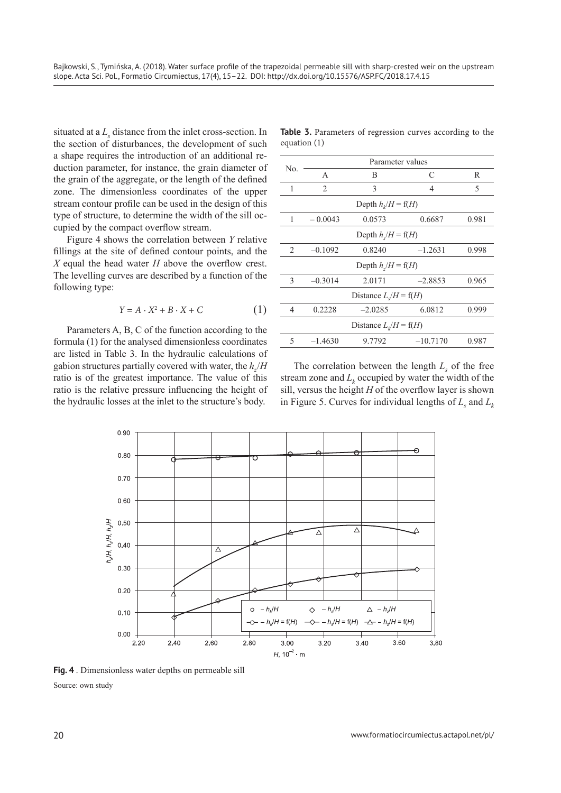situated at a  $L<sub>s</sub>$  distance from the inlet cross-section. In the section of disturbances, the development of such a shape requires the introduction of an additional reduction parameter, for instance, the grain diameter of the grain of the aggregate, or the length of the defined zone. The dimensionless coordinates of the upper stream contour profile can be used in the design of this type of structure, to determine the width of the sill occupied by the compact overflow stream.

Figure 4 shows the correlation between *Y* relative fillings at the site of defined contour points, and the *X* equal the head water *H* above the overflow crest. The levelling curves are described by a function of the following type:

$$
Y = A \cdot X^2 + B \cdot X + C \tag{1}
$$

Parameters A, B, C of the function according to the formula (1) for the analysed dimensionless coordinates are listed in Table 3. In the hydraulic calculations of gabion structures partially covered with water, the *hz*/*H* ratio is of the greatest importance. The value of this ratio is the relative pressure influencing the height of the hydraulic losses at the inlet to the structure's body.

|                | Table 3. Parameters of regression curves according to the |  |  |  |
|----------------|-----------------------------------------------------------|--|--|--|
| equation $(1)$ |                                                           |  |  |  |

| No.                           | Parameter values |           |                |       |  |  |  |  |
|-------------------------------|------------------|-----------|----------------|-------|--|--|--|--|
|                               | $\mathsf{A}$     | B         | C              | R     |  |  |  |  |
| 1                             | $\overline{2}$   | 3         | $\overline{4}$ | 5     |  |  |  |  |
| Depth $h_i/H = f(H)$          |                  |           |                |       |  |  |  |  |
| 1                             | $-0.0043$        | 0.0573    | 0.6687         | 0.981 |  |  |  |  |
| Depth $h/H = f(H)$            |                  |           |                |       |  |  |  |  |
| $\mathfrak{D}_{\mathfrak{p}}$ | $-0.1092$        | 0.8240    | 0.998          |       |  |  |  |  |
| Depth $h/H = f(H)$            |                  |           |                |       |  |  |  |  |
| 3                             | $-0.3014$        | 2.0171    | $-2.8853$      | 0.965 |  |  |  |  |
| Distance $L/H = f(H)$         |                  |           |                |       |  |  |  |  |
| 4                             | 0.2228           | $-2.0285$ | 6.0812         | 0.999 |  |  |  |  |
| Distance $L_k/H = f(H)$       |                  |           |                |       |  |  |  |  |
| 5                             | $-1.4630$        | 9.7792    | $-10.7170$     | 0.987 |  |  |  |  |

The correlation between the length  $L<sub>s</sub>$  of the free stream zone and  $L_k$  occupied by water the width of the sill, versus the height *H* of the overflow layer is shown in Figure 5. Curves for individual lengths of  $L_s$  and  $L_k$ 



**Fig. 4** . Dimensionless water depths on permeable sill Source: own study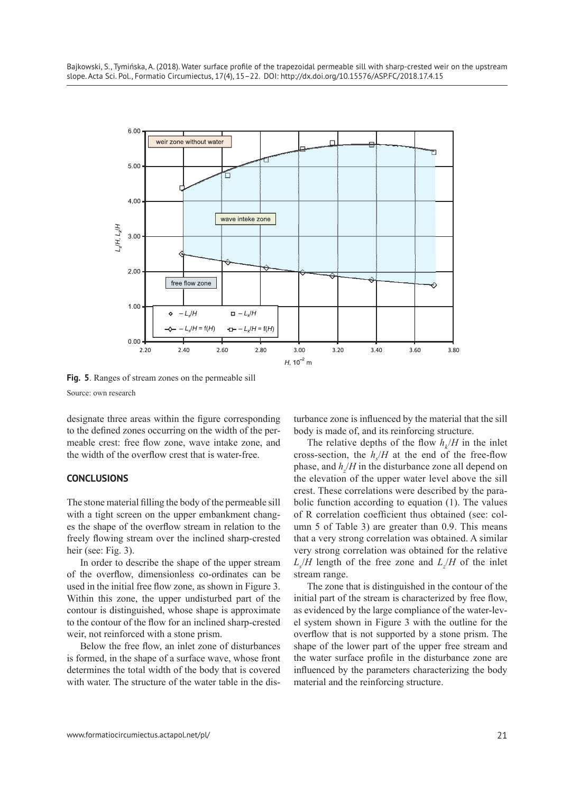

**Fig. 5**. Ranges of stream zones on the permeable sill Source: own research

designate three areas within the figure corresponding to the defined zones occurring on the width of the permeable crest: free flow zone, wave intake zone, and the width of the overflow crest that is water-free.

### **CONCLUSIONS**

The stone material filling the body of the permeable sill with a tight screen on the upper embankment changes the shape of the overflow stream in relation to the freely flowing stream over the inclined sharp-crested heir (see: Fig. 3).

In order to describe the shape of the upper stream of the overflow, dimensionless co-ordinates can be used in the initial free flow zone, as shown in Figure 3. Within this zone, the upper undisturbed part of the contour is distinguished, whose shape is approximate to the contour of the flow for an inclined sharp-crested weir, not reinforced with a stone prism.

Below the free flow, an inlet zone of disturbances is formed, in the shape of a surface wave, whose front determines the total width of the body that is covered with water. The structure of the water table in the disturbance zone is influenced by the material that the sill body is made of, and its reinforcing structure.

The relative depths of the flow  $h_k/H$  in the inlet cross-section, the  $h_s/H$  at the end of the free-flow phase, and  $h/$ *H* in the disturbance zone all depend on the elevation of the upper water level above the sill crest. These correlations were described by the parabolic function according to equation (1). The values of R correlation coefficient thus obtained (see: column 5 of Table 3) are greater than 0.9. This means that a very strong correlation was obtained. A similar very strong correlation was obtained for the relative  $L_s/H$  length of the free zone and  $L_s/H$  of the inlet stream range.

The zone that is distinguished in the contour of the initial part of the stream is characterized by free flow, as evidenced by the large compliance of the water-level system shown in Figure 3 with the outline for the overflow that is not supported by a stone prism. The shape of the lower part of the upper free stream and the water surface profile in the disturbance zone are influenced by the parameters characterizing the body material and the reinforcing structure.